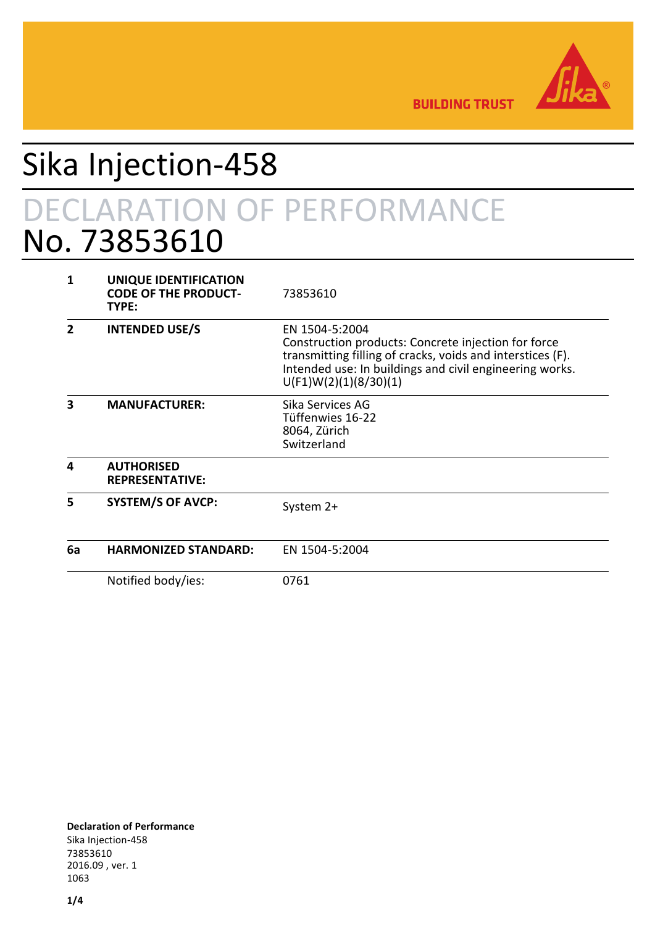

**BUILDING TRUST** 

## Sika Injection-458 DECLARATION OF PERFORMANCE No. 73853610

| 1  | UNIQUE IDENTIFICATION<br><b>CODE OF THE PRODUCT-</b><br>TYPE: | 73853610                                                                                                                                                                                                                |
|----|---------------------------------------------------------------|-------------------------------------------------------------------------------------------------------------------------------------------------------------------------------------------------------------------------|
| 2  | <b>INTENDED USE/S</b>                                         | EN 1504-5:2004<br>Construction products: Concrete injection for force<br>transmitting filling of cracks, voids and interstices (F).<br>Intended use: In buildings and civil engineering works.<br>U(F1)W(2)(1)(8/30)(1) |
| 3  | <b>MANUFACTURER:</b>                                          | Sika Services AG<br>Tüffenwies 16-22<br>8064, Zürich<br>Switzerland                                                                                                                                                     |
| 4  | <b>AUTHORISED</b><br><b>REPRESENTATIVE:</b>                   |                                                                                                                                                                                                                         |
| 5  | <b>SYSTEM/S OF AVCP:</b>                                      | System 2+                                                                                                                                                                                                               |
| 6a | <b>HARMONIZED STANDARD:</b>                                   | EN 1504-5:2004                                                                                                                                                                                                          |
|    | Notified body/ies:                                            | 0761                                                                                                                                                                                                                    |

**Declaration of Performance** Sika Injection-458 73853610 2016.09 , ver. 1 1063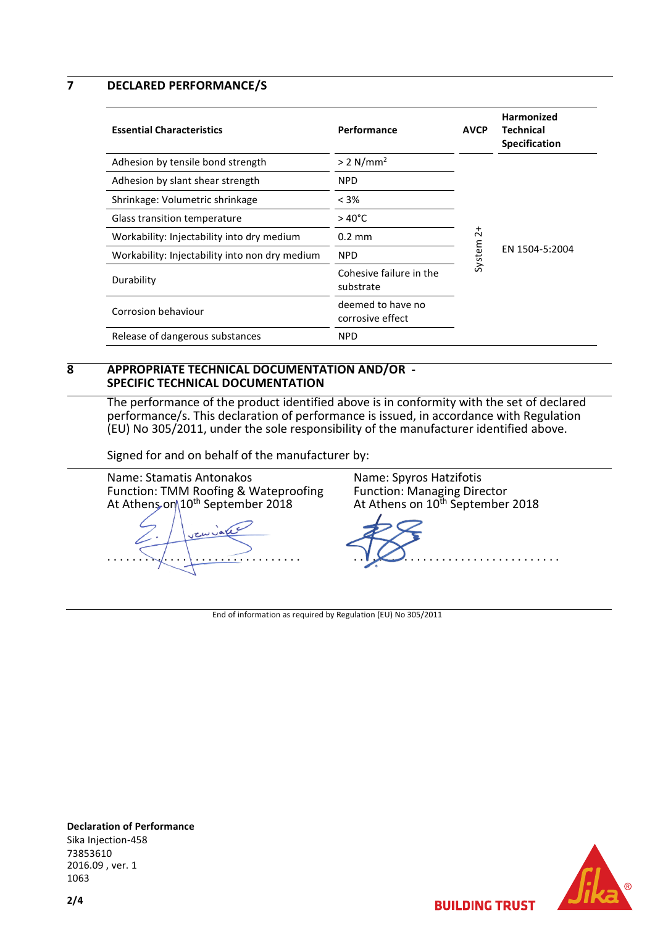**7 DECLARED PERFORMANCE/S**

| <b>Essential Characteristics</b>               | Performance                           | <b>AVCP</b>         | Harmonized<br>Technical<br><b>Specification</b> |
|------------------------------------------------|---------------------------------------|---------------------|-------------------------------------------------|
| Adhesion by tensile bond strength              | $> 2$ N/mm <sup>2</sup>               |                     | EN 1504-5:2004                                  |
| Adhesion by slant shear strength               | <b>NPD</b>                            |                     |                                                 |
| Shrinkage: Volumetric shrinkage                | $< 3\%$                               |                     |                                                 |
| Glass transition temperature                   | $>40^{\circ}$ C                       | $\vec{c}$<br>System |                                                 |
| Workability: Injectability into dry medium     | $0.2 \text{ mm}$                      |                     |                                                 |
| Workability: Injectability into non dry medium | <b>NPD</b>                            |                     |                                                 |
| Durability                                     | Cohesive failure in the<br>substrate  |                     |                                                 |
| Corrosion behaviour                            | deemed to have no<br>corrosive effect |                     |                                                 |
| Release of dangerous substances                | <b>NPD</b>                            |                     |                                                 |

## **8 APPROPRIATE TECHNICAL DOCUMENTATION AND/OR - SPECIFIC TECHNICAL DOCUMENTATION**

The performance of the product identified above is in conformity with the set of declared performance/s. This declaration of performance is issued, in accordance with Regulation (EU) No 305/2011, under the sole responsibility of the manufacturer identified above.

Signed for and on behalf of the manufacturer by:

Name: Stamatis Antonakos Function: TMM Roofing & Wateproofing At Athens on\10<sup>th</sup> September 2018

. . . . . . . . . . . . . . . . . . . . . . . . . . . . . . .

Name: Spyros Hatzifotis Function: Managing Director At Athens on 10<sup>th</sup> September 2018



**BUILDING TRUST** 

End of information as required by Regulation (EU) No 305/2011



**Declaration of Performance** Sika Injection-458 73853610 2016.09 , ver. 1 1063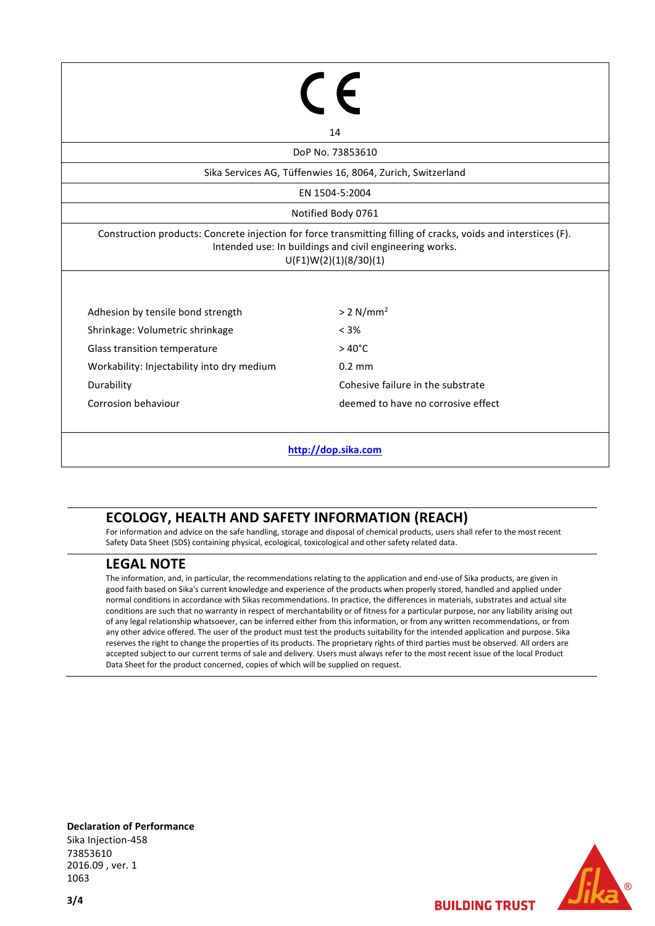|                                                                                                                                                                                                    | $\in$ $\epsilon$                   |  |  |  |  |
|----------------------------------------------------------------------------------------------------------------------------------------------------------------------------------------------------|------------------------------------|--|--|--|--|
|                                                                                                                                                                                                    |                                    |  |  |  |  |
| 14                                                                                                                                                                                                 |                                    |  |  |  |  |
| DoP No. 73853610                                                                                                                                                                                   |                                    |  |  |  |  |
| Sika Services AG, Tüffenwies 16, 8064, Zurich, Switzerland                                                                                                                                         |                                    |  |  |  |  |
| EN 1504-5:2004                                                                                                                                                                                     |                                    |  |  |  |  |
| Notified Body 0761                                                                                                                                                                                 |                                    |  |  |  |  |
| Construction products: Concrete injection for force transmitting filling of cracks, voids and interstices (F).<br>Intended use: In buildings and civil engineering works.<br>U(F1)W(2)(1)(8/30)(1) |                                    |  |  |  |  |
| Adhesion by tensile bond strength                                                                                                                                                                  | > 2 N/mm <sup>2</sup>              |  |  |  |  |
| Shrinkage: Volumetric shrinkage                                                                                                                                                                    | $< 3\%$                            |  |  |  |  |
| Glass transition temperature                                                                                                                                                                       | $>40^{\circ}$ C                    |  |  |  |  |
| Workability: Injectability into dry medium                                                                                                                                                         | $0.2$ mm                           |  |  |  |  |
| Durability                                                                                                                                                                                         | Cohesive failure in the substrate  |  |  |  |  |
| Corrosion behaviour                                                                                                                                                                                | deemed to have no corrosive effect |  |  |  |  |
|                                                                                                                                                                                                    |                                    |  |  |  |  |
|                                                                                                                                                                                                    | http://dop.sika.com                |  |  |  |  |

## **ECOLOGY, HEALTH AND SAFETY INFORMATION (REACH)**

For information and advice on the safe handling, storage and disposal of chemical products, users shall refer to the most recent Safety Data Sheet (SDS) containing physical, ecological, toxicological and other safety related data.

## **LEGAL NOTE**

The information, and, in particular, the recommendations relating to the application and end-use of Sika products, are given in good faith based on Sika's current knowledge and experience of the products when properly stored, handled and applied under normal conditions in accordance with Sikas recommendations. In practice, the differences in materials, substrates and actual site conditions are such that no warranty in respect of merchantability or of fitness for a particular purpose, nor any liability arising out of any legal relationship whatsoever, can be inferred either from this information, or from any written recommendations, or from any other advice offered. The user of the product must test the products suitability for the intended application and purpose. Sika reserves the right to change the properties of its products. The proprietary rights of third parties must be observed. All orders are accepted subject to our current terms of sale and delivery. Users must always refer to the most recent issue of the local Product Data Sheet for the product concerned, copies of which will be supplied on request.

**Declaration of Performance** Sika Injection-458 73853610 2016.09 , ver. 1 1063